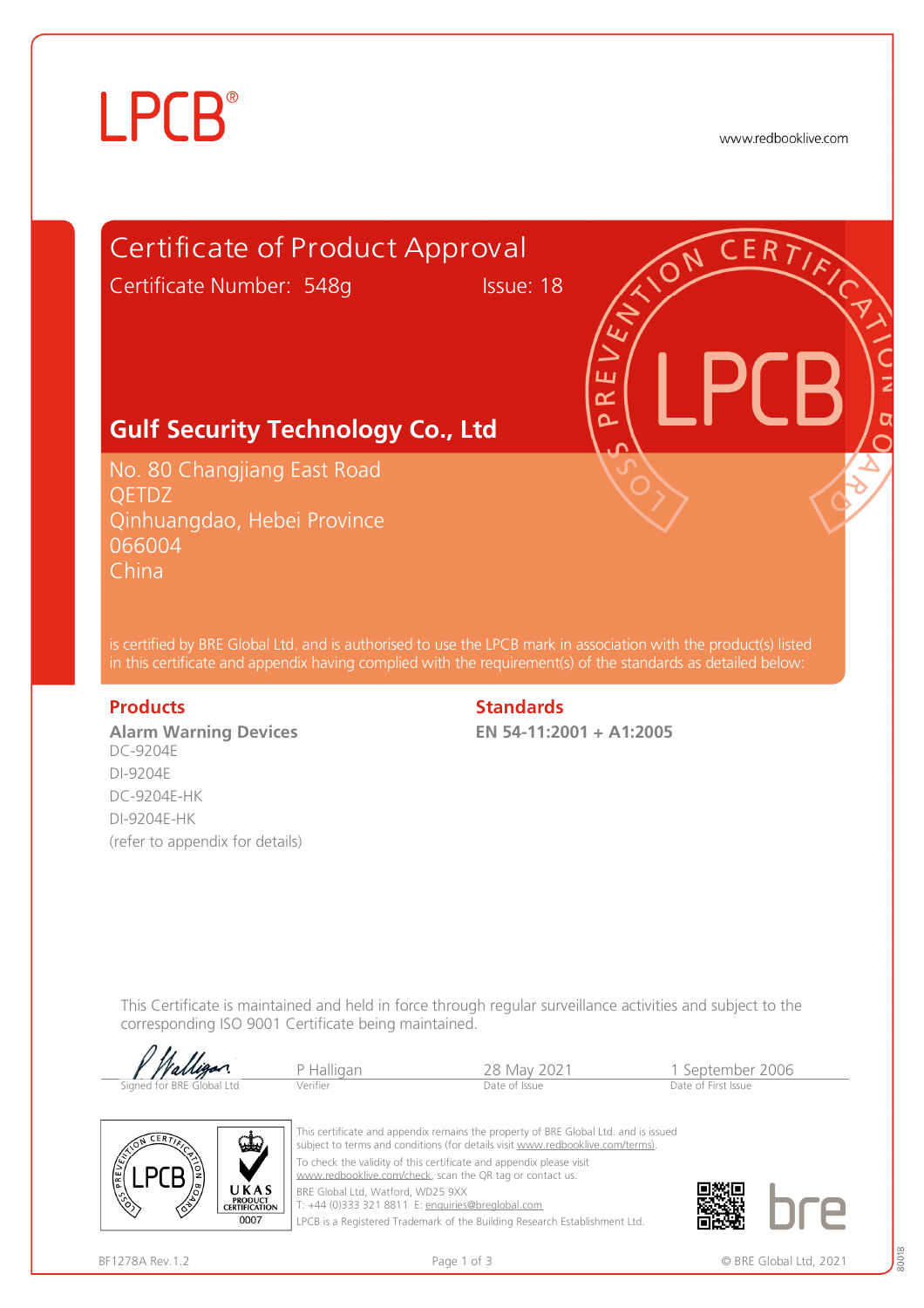# **LPCB**®

www.redbooklive.com



**Alarm Warning Devices**  DC-9204E DI-9204E DC-9204E-HK DI-9204E-HK (refer to appendix for details)

### **Products** Standards **Standards**

**EN 54-11:2001 + A1:2005** 

This Certificate is maintained and held in force through regular surveillance activities and subject to the corresponding ISO 9001 Certificate being maintained.

| V Walligan                | P Halligan | 28 May 2021   | l September 2006    |  |
|---------------------------|------------|---------------|---------------------|--|
|                           |            |               |                     |  |
| Signed for BRE Global Ltd | Verifier   | Date of Issue | Date of First Issue |  |



This certificate and appendix remains the property of BRE Global Ltd. and is issued subject to terms and conditions (for details visit [www.redbooklive.com/terms\)](http://www.redbooklive.com/terms)). To check the validity of this certificate and appendix please visit [www.redbooklive.com/check,](http://www.redbooklive.com/check) scan the QR tag or contact us. BRE Global Ltd, Watford, WD25 9XX

T: +44 (0)333 321 8811 E: [enquiries@breglobal.com](mailto:enquiries@breglobal.com)

LPCB is a Registered Trademark of the Building Research Establishment Ltd.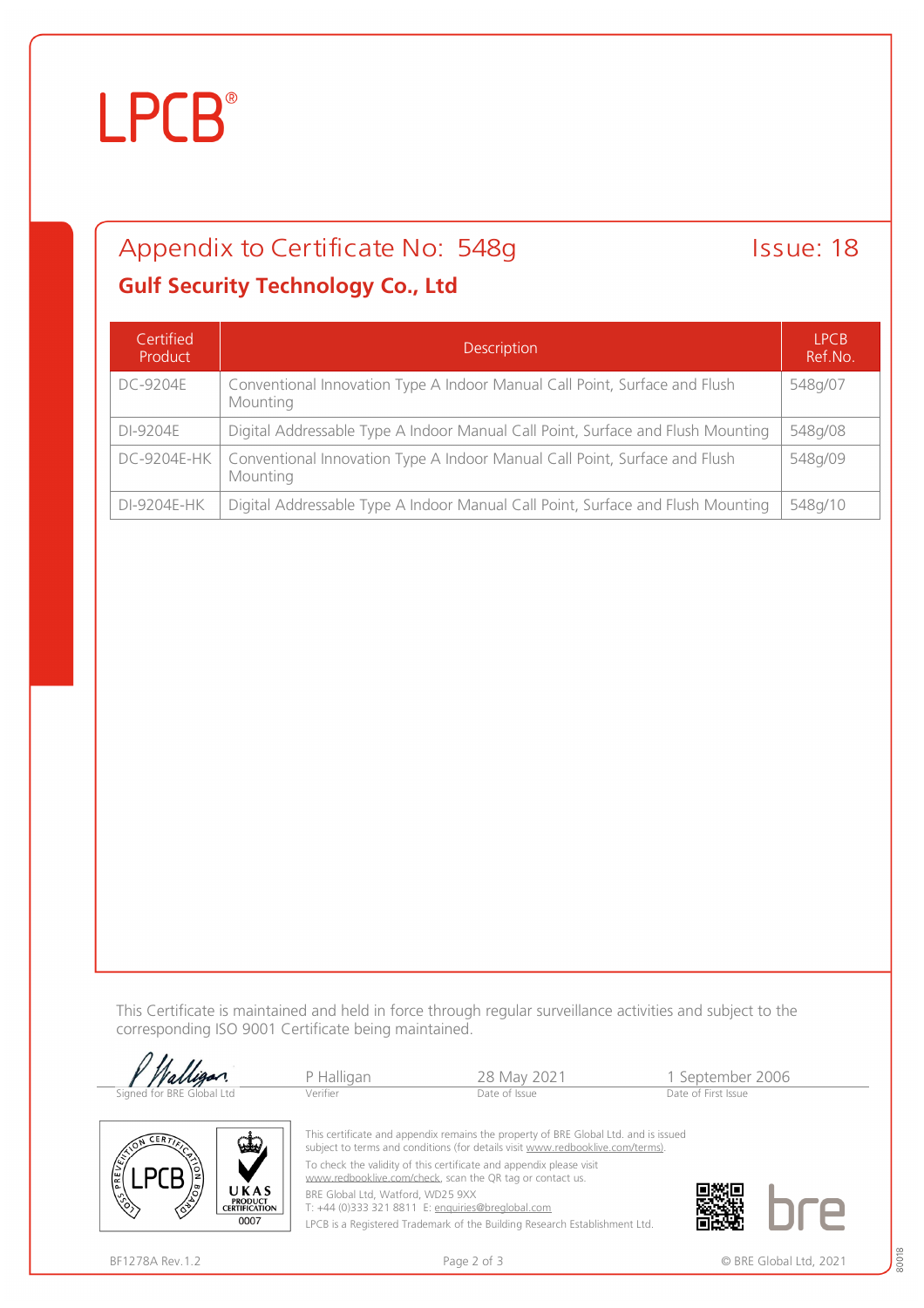# **LPCB**®

# Appendix to Certificate No: 548g Issue: 18

## **Gulf Security Technology Co., Ltd**

| Certified<br>Product | <b>Description</b>                                                                     | IPCB<br>Ref.No. |
|----------------------|----------------------------------------------------------------------------------------|-----------------|
| DC-9204E             | Conventional Innovation Type A Indoor Manual Call Point, Surface and Flush<br>Mounting | 548g/07         |
| DI-9204E             | Digital Addressable Type A Indoor Manual Call Point, Surface and Flush Mounting        | 548g/08         |
| DC-9204E-HK          | Conventional Innovation Type A Indoor Manual Call Point, Surface and Flush<br>Mounting | 548g/09         |
| DI-9204E-HK          | Digital Addressable Type A Indoor Manual Call Point, Surface and Flush Mounting        | 548g/10         |

This Certificate is maintained and held in force through regular surveillance activities and subject to the corresponding ISO 9001 Certificate being maintained.

|                                                      | P Halligan                                                                                                                       | 28 May 2021                                                                                                                                                           | 1 September 2006    |
|------------------------------------------------------|----------------------------------------------------------------------------------------------------------------------------------|-----------------------------------------------------------------------------------------------------------------------------------------------------------------------|---------------------|
| Signed for BRE Global Ltd                            | Verifier                                                                                                                         | Date of Issue                                                                                                                                                         | Date of First Issue |
| <b>ERTT</b><br>ستعن                                  |                                                                                                                                  | This certificate and appendix remains the property of BRE Global Ltd. and is issued<br>subject to terms and conditions (for details visit www.redbooklive.com/terms). |                     |
| <b>COST PREVERS</b>                                  | To check the validity of this certificate and appendix please visit<br>www.redbooklive.com/check, scan the QR tag or contact us. |                                                                                                                                                                       |                     |
| UKAS<br><b>PRODUCT</b><br>⁄ঔ<br><b>CERTIFICATION</b> | BRE Global Ltd, Watford, WD25 9XX                                                                                                | T: +44 (0)333 321 8811 E: enquiries@breglobal.com                                                                                                                     |                     |

LPCB is a Registered Trademark of the Building Research Establishment Ltd.

∕ॐ

0007

 $\langle \hat{\diamond} \rangle$ 

80018